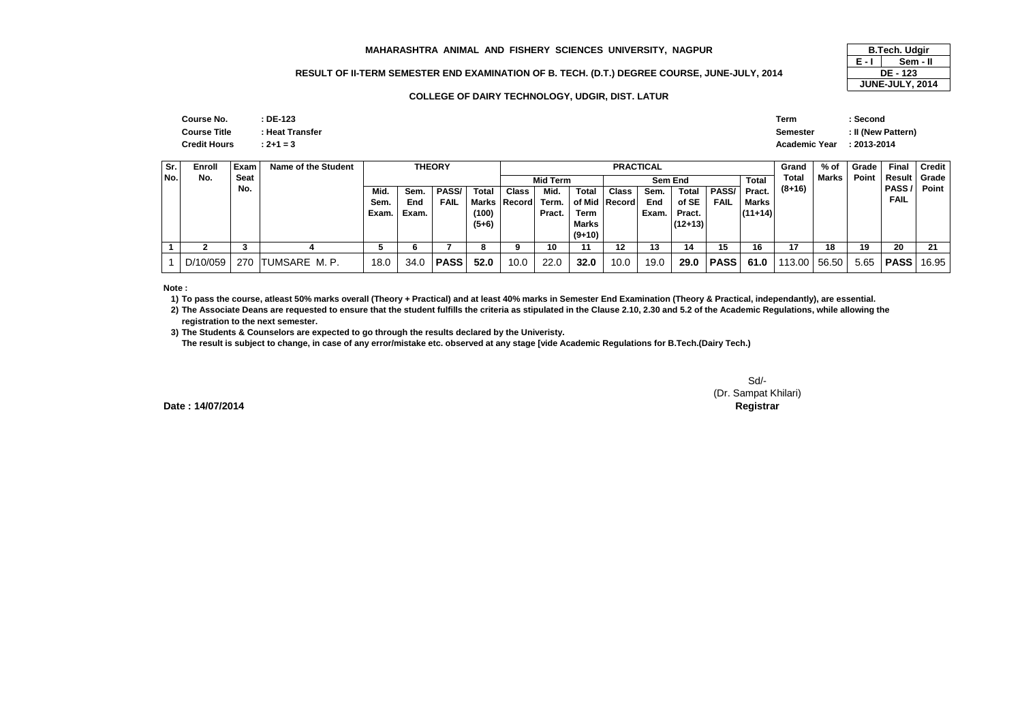#### **MAHARASHTRA ANIMAL AND FISHERY SCIENCES UNIVERSITY, NAGPUR**

## **RESULT OF II-TERM SEMESTER END EXAMINATION OF B. TECH. (D.T.) DEGREE COURSE, JUNE-JULY, 2014**

#### **COLLEGE OF DAIRY TECHNOLOGY, UDGIR, DIST. LATUR**

| Course No.          | : DE-123        | <b>Term</b>          | Second             |
|---------------------|-----------------|----------------------|--------------------|
| <b>Course Title</b> | : Heat Transfer | <b>Semester</b>      | : II (New Pattern) |
| <b>Credit Hours</b> | $: 2 + 1 = 3$   | <b>Academic Year</b> | : 2013-2014        |
|                     |                 |                      |                    |

| Sr.   | Enroll   | Exam | Name of the Student |      |       | <b>THEORY</b> |              | <b>PRACTICAL</b>   |                                     |              |                                               |       |           |             |           | Grand    | % of  | Grade | <b>Final</b> | <b>Credit</b> |
|-------|----------|------|---------------------|------|-------|---------------|--------------|--------------------|-------------------------------------|--------------|-----------------------------------------------|-------|-----------|-------------|-----------|----------|-------|-------|--------------|---------------|
| l No. | No.      | Seat |                     |      |       |               |              |                    | <b>Mid Term</b><br>Sem End<br>Total |              |                                               |       |           |             |           | Total    | Marks | Point | Result       | Grade         |
|       |          | No.  |                     | Mid. | Sem.  | PASS/         | <b>Total</b> | <b>Class</b>       | Mid.                                | <b>Total</b> | <b>PASS/</b><br><b>Total</b><br>Class<br>Sem. |       |           |             | Pract.    | $(8+16)$ |       |       | PASS/        | Point         |
|       |          |      |                     | Sem. | End   | FAIL          |              | Marks Record Term. |                                     |              | of Mid   Record                               | End   | of SE     | <b>FAIL</b> | Marks     |          |       |       | <b>FAIL</b>  |               |
|       |          |      |                     | Exam | Exam. |               | (100)        |                    | Pract.                              | Term         |                                               | Exam. | Pract.    |             | $(11+14)$ |          |       |       |              |               |
|       |          |      |                     |      |       |               | $(5+6)$      |                    |                                     | Marks        |                                               |       | $(12+13)$ |             |           |          |       |       |              |               |
|       |          |      |                     |      |       |               |              |                    |                                     | $(9+10)$     |                                               |       |           |             |           |          |       |       |              |               |
|       |          |      |                     |      |       |               | 8            |                    | 10                                  |              | 12                                            | 13    | 14        | 15          | 16        | 17       | 18    | 19    | 20           | 21            |
|       | D/10/059 | 270  | TUMSARE M. P.       | 18.0 | 34.0  | l PASS        | 52.0         | 10.0               | 22.0                                | 32.0         | 10.0                                          | 19.0  | 29.0      | PASS        | 61.0      | 113.00   | 56.50 | 5.65  | <b>PASS</b>  | 16.95         |

**Note :**

**1) To pass the course, atleast 50% marks overall (Theory + Practical) and at least 40% marks in Semester End Examination (Theory & Practical, independantly), are essential.** 

**2) The Associate Deans are requested to ensure that the student fulfills the criteria as stipulated in the Clause 2.10, 2.30 and 5.2 of the Academic Regulations, while allowing the registration to the next semester.**

 **3) The Students & Counselors are expected to go through the results declared by the Univeristy. The result is subject to change, in case of any error/mistake etc. observed at any stage [vide Academic Regulations for B.Tech.(Dairy Tech.)**

> Sd/- (Dr. Sampat Khilari)**Controller of Examinations Registrar**

**Date : 14/07/2014**

#### **E - I B.Tech. Udgir Sem - II DE - 123JUNE-JULY, 2014**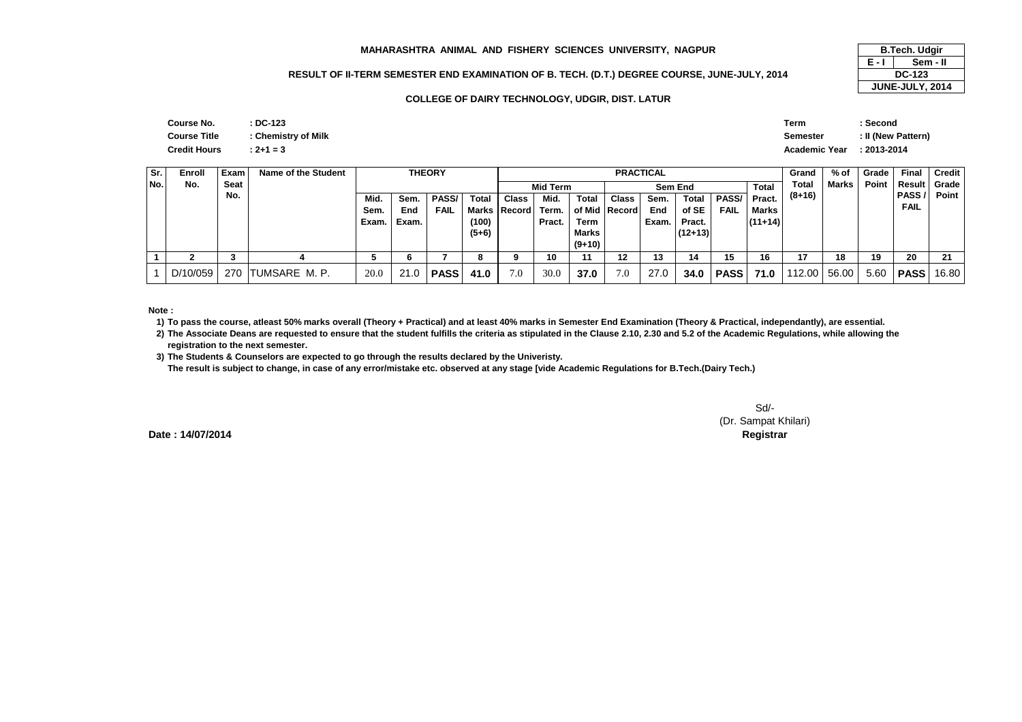#### **MAHARASHTRA ANIMAL AND FISHERY SCIENCES UNIVERSITY, NAGPUR**

### **RESULT OF II-TERM SEMESTER END EXAMINATION OF B. TECH. (D.T.) DEGREE COURSE, JUNE-JULY, 2014**

#### **COLLEGE OF DAIRY TECHNOLOGY, UDGIR, DIST. LATUR**

| R               | <b>B.Tech. Udgir</b> |                 |  |  |  |  |
|-----------------|----------------------|-----------------|--|--|--|--|
|                 | F - I                | Sem - II        |  |  |  |  |
| JUNE-JULY, 2014 | <b>DC-123</b>        |                 |  |  |  |  |
|                 |                      | JUNE-JULY, 2014 |  |  |  |  |

| Course No.          | $:$ DC-123          |
|---------------------|---------------------|
| <b>Course Title</b> | : Chemistry of Milk |
| <b>Credit Hours</b> | $: 2 + 1 = 3$       |

|               | Term                      | : Second           |
|---------------|---------------------------|--------------------|
| istry of Milk | Semester                  | : Il (New Pattern) |
|               | Academic Year : 2013-2014 |                    |

| Sr. | Enroll   | Exam | Name of the Student |       |       | <b>THEORY</b> |           | <b>PRACTICAL</b>   |                                            |          |                                                |       |           |             |           | Grand    | % of         | Grade       | Final       | Credit |
|-----|----------|------|---------------------|-------|-------|---------------|-----------|--------------------|--------------------------------------------|----------|------------------------------------------------|-------|-----------|-------------|-----------|----------|--------------|-------------|-------------|--------|
| No. | No.      | Seat |                     |       |       |               |           |                    | <b>Total</b><br><b>Mid Term</b><br>Sem End |          |                                                |       |           |             |           | Total    | <b>Marks</b> | Point       | Result      | Grade  |
|     |          | No.  |                     | Mid.  | Sem.  | <b>PASS/</b>  | Total     | <b>Class</b>       | Mid.                                       | Total    | <b>PASS</b><br>Total<br>Class<br>Sem.          |       |           |             | Pract.    | $(8+16)$ |              |             | PASS /      | Point  |
|     |          |      |                     | Sem.  | End   | FAIL          |           | Marks Record Term. |                                            |          | of SE<br>of Mid   Record<br>End<br><b>FAIL</b> |       |           | Marks       |           |          |              | <b>FAIL</b> |             |        |
|     |          |      |                     | Exam. | Exam. |               | (100)     |                    | Pract.                                     | Term     |                                                | Exam. | Pract.    |             | $(11+14)$ |          |              |             |             |        |
|     |          |      |                     |       |       |               | $(5+6)$   |                    |                                            | Marks    |                                                |       | $(12+13)$ |             |           |          |              |             |             |        |
|     |          |      |                     |       |       |               |           |                    |                                            | $(9+10)$ |                                                |       |           |             |           |          |              |             |             |        |
|     |          | ٠J   |                     |       | 6     |               | $\bullet$ |                    | 10                                         |          | 12                                             | 13    | 14        | 15          | 16        | 17       | 18           | 19          | 20          | 21     |
|     | D/10/059 | 270  | ITUMSARE M.P.       | 20.0  | 21.0  | <b>PASS</b>   | 41.0      | 7.0                | 30.0                                       | 37.0     | 7.0                                            | 27.0  | 34.0      | <b>PASS</b> | 71.0      | 112.00   | 56.00        | 5.60        | <b>PASS</b> | 16.80  |

#### **Note :**

**1) To pass the course, atleast 50% marks overall (Theory + Practical) and at least 40% marks in Semester End Examination (Theory & Practical, independantly), are essential.** 

**2) The Associate Deans are requested to ensure that the student fulfills the criteria as stipulated in the Clause 2.10, 2.30 and 5.2 of the Academic Regulations, while allowing the registration to the next semester.**

**3) The Students & Counselors are expected to go through the results declared by the Univeristy.** 

**The result is subject to change, in case of any error/mistake etc. observed at any stage [vide Academic Regulations for B.Tech.(Dairy Tech.)**

Sd/- (Dr. Sampat Khilari)**Controller of Examinations Registrar**

**Date : 14/07/2014**